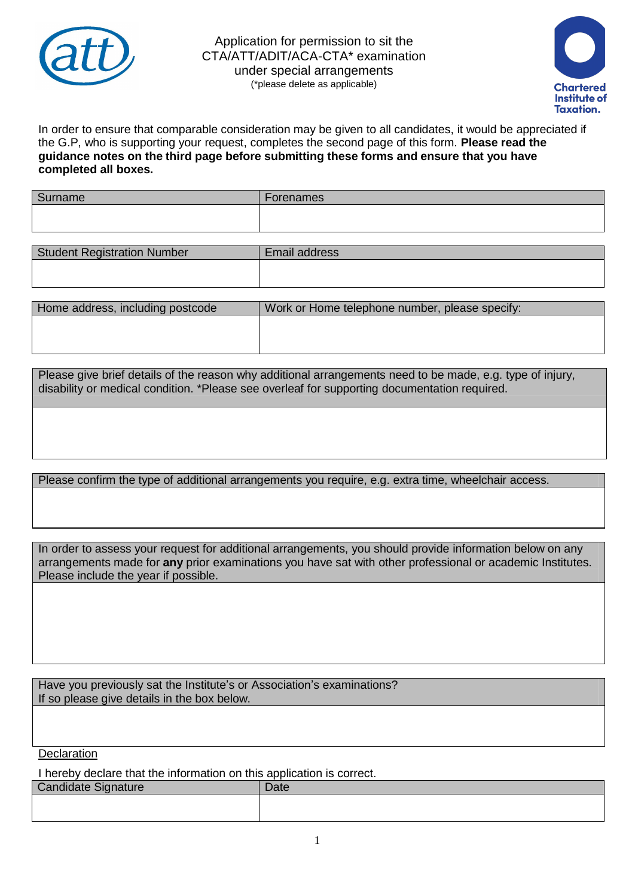

Application for permission to sit the CTA/ATT/ADIT/ACA-CTA\* examination under special arrangements (\*please delete as applicable)



In order to ensure that comparable consideration may be given to all candidates, it would be appreciated if the G.P, who is supporting your request, completes the second page of this form. **Please read the guidance notes on the third page before submitting these forms and ensure that you have completed all boxes.**

| Surname | $\overline{\phantom{0}}$<br>Forenames |
|---------|---------------------------------------|
|         |                                       |
|         |                                       |

| <b>Student Registration Number</b> | Email address |
|------------------------------------|---------------|
|                                    |               |
|                                    |               |

| Home address, including postcode | Work or Home telephone number, please specify: |
|----------------------------------|------------------------------------------------|
|                                  |                                                |
|                                  |                                                |
|                                  |                                                |

Please give brief details of the reason why additional arrangements need to be made, e.g. type of injury, disability or medical condition. \*Please see overleaf for supporting documentation required.

Please confirm the type of additional arrangements you require, e.g. extra time, wheelchair access.

In order to assess your request for additional arrangements, you should provide information below on any arrangements made for **any** prior examinations you have sat with other professional or academic Institutes. Please include the year if possible.

Have you previously sat the Institute's or Association's examinations? If so please give details in the box below.

**Declaration** 

I hereby declare that the information on this application is correct.

| <b>Candidate Signature</b> | Date |
|----------------------------|------|
|                            |      |
|                            |      |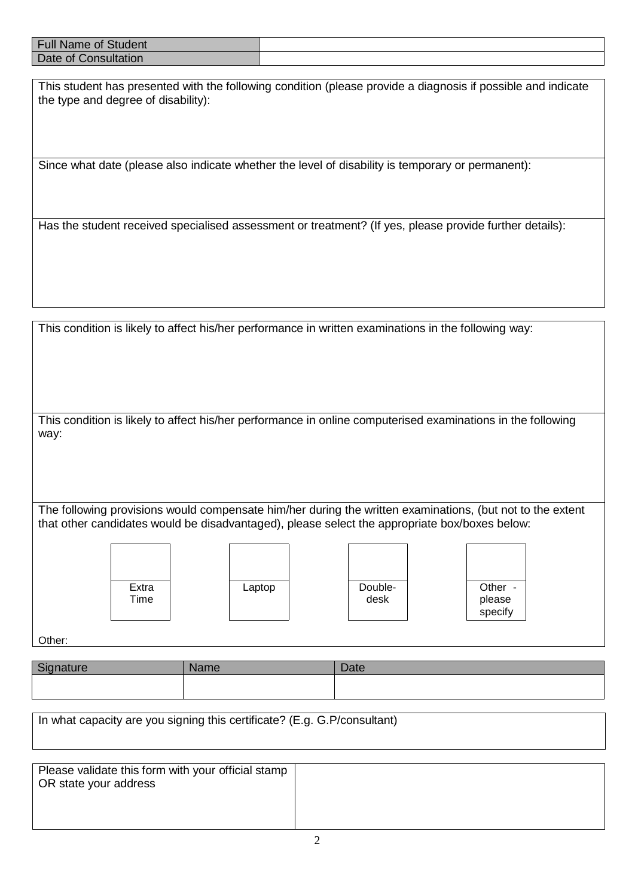| .<br>Full N<br>Name of Student |  |
|--------------------------------|--|
| Date of 0<br>Consultation      |  |

This student has presented with the following condition (please provide a diagnosis if possible and indicate the type and degree of disability):

Since what date (please also indicate whether the level of disability is temporary or permanent):

Has the student received specialised assessment or treatment? (If yes, please provide further details):

This condition is likely to affect his/her performance in written examinations in the following way:

This condition is likely to affect his/her performance in online computerised examinations in the following way:

The following provisions would compensate him/her during the written examinations, (but not to the extent that other candidates would be disadvantaged), please select the appropriate box/boxes below:









Other:

| <b>Example 10</b><br>שוט | <b>Name</b> | Date |
|--------------------------|-------------|------|
|                          |             |      |

| In what capacity are you signing this certificate? (E.g. G.P/consultant) |  |  |  |
|--------------------------------------------------------------------------|--|--|--|
|                                                                          |  |  |  |
|                                                                          |  |  |  |

| Please validate this form with your official stamp<br>OR state your address |  |
|-----------------------------------------------------------------------------|--|
|                                                                             |  |